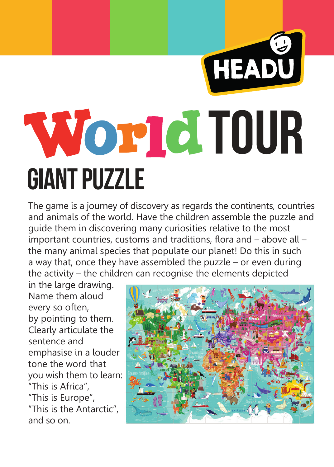# HEADU **World TOUR GIANT PUZZLE**

The game is a journey of discovery as regards the continents, countries and animals of the world. Have the children assemble the puzzle and guide them in discovering many curiosities relative to the most important countries, customs and traditions, flora and – above all – the many animal species that populate our planet! Do this in such a way that, once they have assembled the puzzle – or even during the activity – the children can recognise the elements depicted

in the large drawing. Name them aloud every so often, by pointing to them. Clearly articulate the sentence and emphasise in a louder tone the word that you wish them to learn: "This is Africa", "This is Europe", "This is the Antarctic", and so on.

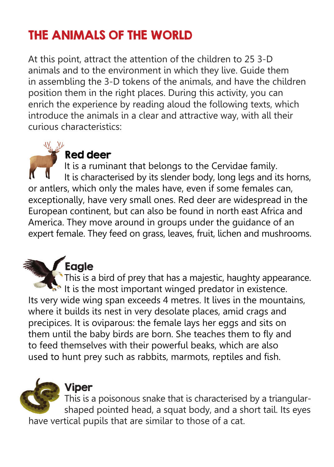# THE ANIMALS OF THE WORLD

At this point, attract the attention of the children to 25 3-D animals and to the environment in which they live. Guide them in assembling the 3-D tokens of the animals, and have the children position them in the right places. During this activity, you can enrich the experience by reading aloud the following texts, which introduce the animals in a clear and attractive way, with all their curious characteristics:

# Red deer

 It is a ruminant that belongs to the Cervidae family. It is characterised by its slender body, long legs and its horns, or antlers, which only the males have, even if some females can, exceptionally, have very small ones. Red deer are widespread in the European continent, but can also be found in north east Africa and America. They move around in groups under the guidance of an expert female. They feed on grass, leaves, fruit, lichen and mushrooms.

# Eagle

This is a bird of prey that has a majestic, haughty appearance. It is the most important winged predator in existence. Its very wide wing span exceeds 4 metres. It lives in the mountains, where it builds its nest in very desolate places, amid crags and precipices. It is oviparous: the female lays her eggs and sits on them until the baby birds are born. She teaches them to fly and to feed themselves with their powerful beaks, which are also used to hunt prey such as rabbits, marmots, reptiles and fish.



#### Viper

 This is a poisonous snake that is characterised by a triangular shaped pointed head, a squat body, and a short tail. Its eyes have vertical pupils that are similar to those of a cat.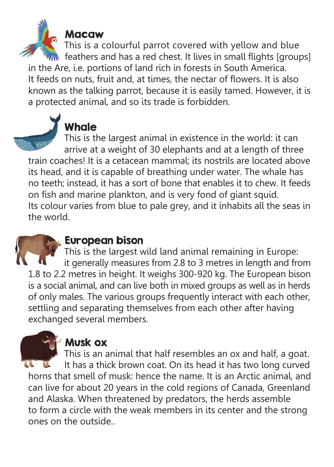

#### Macaw

 This is a colourful parrot covered with yellow and blue feathers and has a red chest. It lives in small flights [groups] in the Are, i.e. portions of land rich in forests in South America. It feeds on nuts, fruit and, at times, the nectar of flowers. It is also known as the talking parrot, because it is easily tamed. However, it is a protected animal, and so its trade is forbidden.



# **Whale**

 This is the largest animal in existence in the world: it can arrive at a weight of 30 elephants and at a length of three train coaches! It is a cetacean mammal; its nostrils are located above its head, and it is capable of breathing under water. The whale has no teeth; instead, it has a sort of bone that enables it to chew. It feeds on fish and marine plankton, and is very fond of giant squid. Its colour varies from blue to pale grey, and it inhabits all the seas in the world.



# European bison

This is the largest wild land animal remaining in Europe: it generally measures from 2.8 to 3 metres in length and from 1.8 to 2.2 metres in height. It weighs 300-920 kg. The European bison is a social animal, and can live both in mixed groups as well as in herds of only males. The various groups frequently interact with each other, settling and separating themselves from each other after having exchanged several members.



# Musk ox

 This is an animal that half resembles an ox and half, a goat. It has a thick brown coat. On its head it has two long curved horns that smell of musk: hence the name. It is an Arctic animal, and can live for about 20 years in the cold regions of Canada, Greenland and Alaska. When threatened by predators, the herds assemble to form a circle with the weak members in its center and the strong ones on the outside..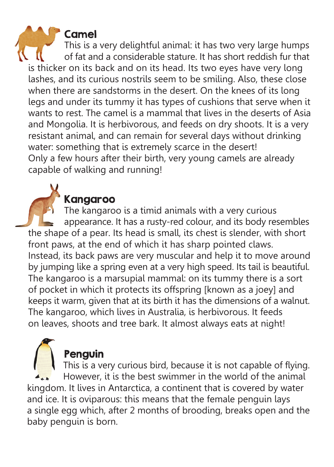#### Camel

 This is a very delightful animal: it has two very large humps of fat and a considerable stature. It has short reddish fur that is thicker on its back and on its head. Its two eyes have very long lashes, and its curious nostrils seem to be smiling. Also, these close when there are sandstorms in the desert. On the knees of its long legs and under its tummy it has types of cushions that serve when it wants to rest. The camel is a mammal that lives in the deserts of Asia and Mongolia. It is herbivorous, and feeds on dry shoots. It is a very resistant animal, and can remain for several days without drinking water: something that is extremely scarce in the desert! Only a few hours after their birth, very young camels are already capable of walking and running!

# Kangaroo

 The kangaroo is a timid animals with a very curious appearance. It has a rusty-red colour, and its body resembles the shape of a pear. Its head is small, its chest is slender, with short front paws, at the end of which it has sharp pointed claws. Instead, its back paws are very muscular and help it to move around by jumping like a spring even at a very high speed. Its tail is beautiful. The kangaroo is a marsupial mammal: on its tummy there is a sort of pocket in which it protects its offspring [known as a joey] and keeps it warm, given that at its birth it has the dimensions of a walnut. The kangaroo, which lives in Australia, is herbivorous. It feeds on leaves, shoots and tree bark. It almost always eats at night!

# Penguin

 This is a very curious bird, because it is not capable of flying. However, it is the best swimmer in the world of the animal kingdom. It lives in Antarctica, a continent that is covered by water and ice. It is oviparous: this means that the female penguin lays a single egg which, after 2 months of brooding, breaks open and the baby penguin is born.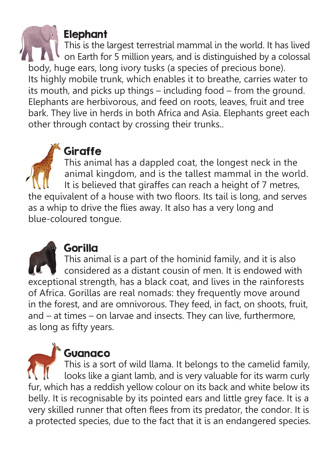## Elephant

**This is the largest terrestrial mammal in the world. It has lived ANGE OF EARTH FOR 5 million years, and is distinguished by a colossal** body, huge ears, long ivory tusks (a species of precious bone). Its highly mobile trunk, which enables it to breathe, carries water to its mouth, and picks up things – including food – from the ground. Elephants are herbivorous, and feed on roots, leaves, fruit and tree bark. They live in herds in both Africa and Asia. Elephants greet each other through contact by crossing their trunks..

# **Giraffe**

 This animal has a dappled coat, the longest neck in the animal kingdom, and is the tallest mammal in the world. It is believed that giraffes can reach a height of 7 metres, the equivalent of a house with two floors. Its tail is long, and serves as a whip to drive the flies away. It also has a very long and blue-coloured tongue.



# Gorilla

 This animal is a part of the hominid family, and it is also considered as a distant cousin of men. It is endowed with exceptional strength, has a black coat, and lives in the rainforests of Africa. Gorillas are real nomads: they frequently move around in the forest, and are omnivorous. They feed, in fact, on shoots, fruit, and – at times – on larvae and insects. They can live, furthermore, as long as fifty years.

# **Guanaco**

 This is a sort of wild llama. It belongs to the camelid family, looks like a giant lamb, and is very valuable for its warm curly fur, which has a reddish yellow colour on its back and white below its belly. It is recognisable by its pointed ears and little grey face. It is a very skilled runner that often flees from its predator, the condor. It is a protected species, due to the fact that it is an endangered species.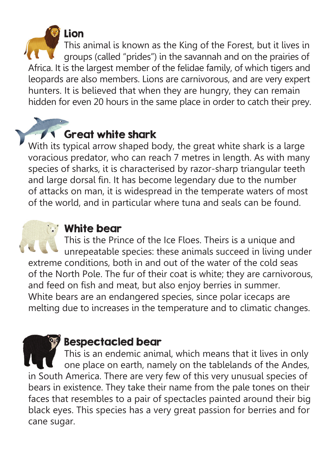Lion This animal is known as the King of the Forest, but it lives in groups (called "prides") in the savannah and on the prairies of Africa. It is the largest member of the felidae family, of which tigers and leopards are also members. Lions are carnivorous, and are very expert hunters. It is believed that when they are hungry, they can remain hidden for even 20 hours in the same place in order to catch their prey.

# Great white shark

With its typical arrow shaped body, the great white shark is a large voracious predator, who can reach 7 metres in length. As with many species of sharks, it is characterised by razor-sharp triangular teeth and large dorsal fin. It has become legendary due to the number of attacks on man, it is widespread in the temperate waters of most of the world, and in particular where tuna and seals can be found.

# White bear

 This is the Prince of the Ice Floes. Theirs is a unique and unrepeatable species: these animals succeed in living under extreme conditions, both in and out of the water of the cold seas of the North Pole. The fur of their coat is white; they are carnivorous, and feed on fish and meat, but also enjoy berries in summer. White bears are an endangered species, since polar icecaps are melting due to increases in the temperature and to climatic changes.

# Bespectacled bear

 This is an endemic animal, which means that it lives in only one place on earth, namely on the tablelands of the Andes, in South America. There are very few of this very unusual species of bears in existence. They take their name from the pale tones on their faces that resembles to a pair of spectacles painted around their big black eyes. This species has a very great passion for berries and for cane sugar.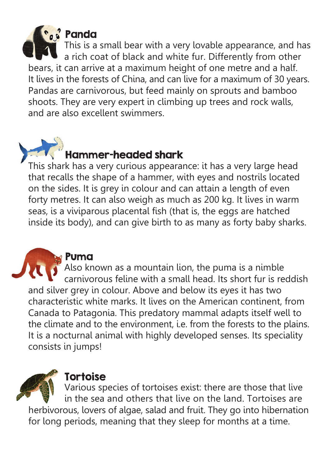

# Panda

 This is a small bear with a very lovable appearance, and has a rich coat of black and white fur. Differently from other bears, it can arrive at a maximum height of one metre and a half. It lives in the forests of China, and can live for a maximum of 30 years. Pandas are carnivorous, but feed mainly on sprouts and bamboo shoots. They are very expert in climbing up trees and rock walls, and are also excellent swimmers.

# Hammer-headed shark

This shark has a very curious appearance: it has a very large head that recalls the shape of a hammer, with eyes and nostrils located on the sides. It is grey in colour and can attain a length of even forty metres. It can also weigh as much as 200 kg. It lives in warm seas, is a viviparous placental fish (that is, the eggs are hatched inside its body), and can give birth to as many as forty baby sharks.

#### Puma

 $\blacksquare$  Also known as a mountain lion, the puma is a nimble **COLOGITY** carnivorous feline with a small head. Its short fur is reddish and silver grey in colour. Above and below its eyes it has two characteristic white marks. It lives on the American continent, from Canada to Patagonia. This predatory mammal adapts itself well to the climate and to the environment, i.e. from the forests to the plains. It is a nocturnal animal with highly developed senses. Its speciality consists in jumps!

# **Tortoise**

 $\blacktriangleright$  Various species of tortoises exist: there are those that live  $\mathbf{w}$  in the sea and others that live on the land. Tortoises are herbivorous, lovers of algae, salad and fruit. They go into hibernation for long periods, meaning that they sleep for months at a time.